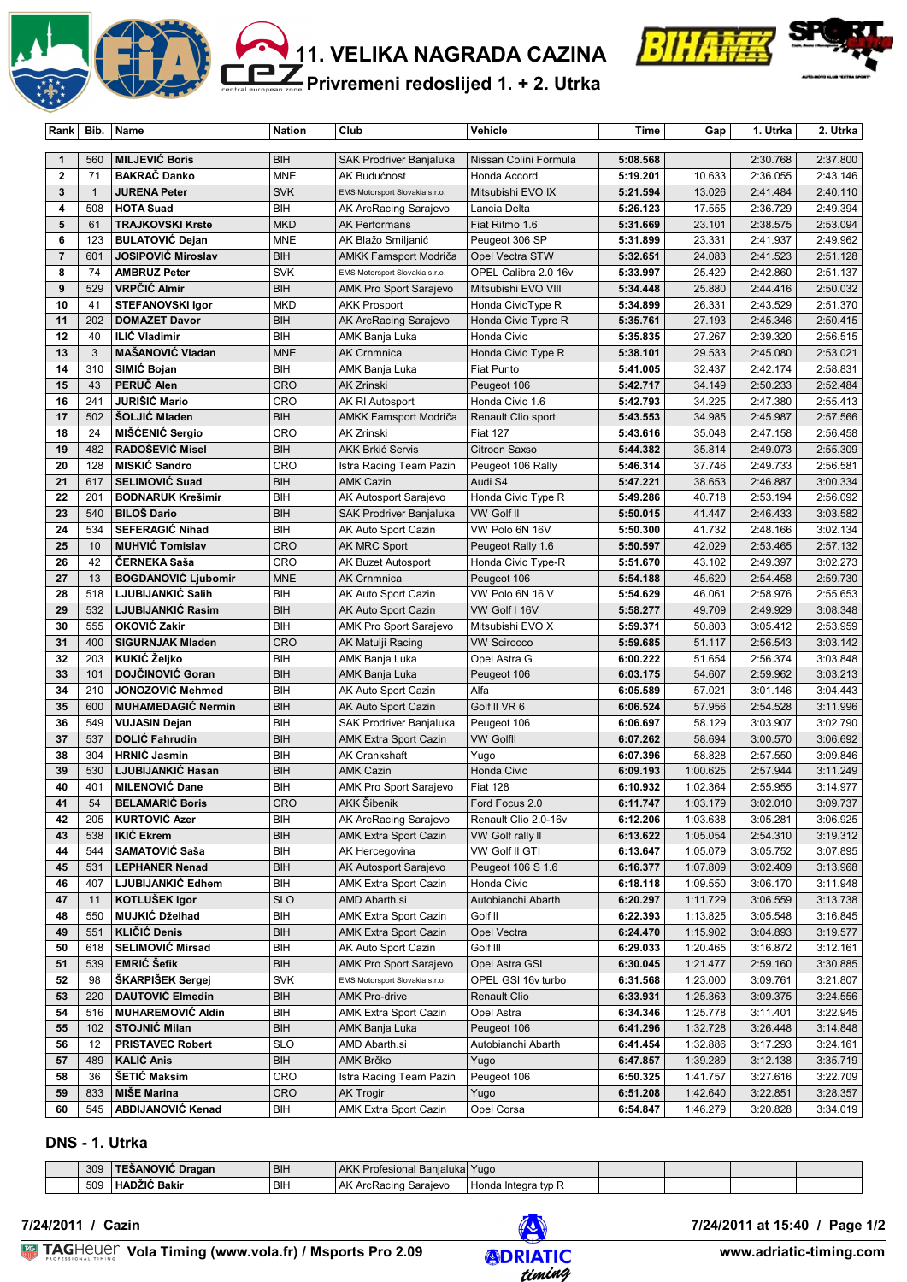



**Privremeni redoslijed 1. + 2. Utrka**

| Rank                         | Bib.           | Name                                              | <b>Nation</b>            | Club                                           | Vehicle                               | Time                 | Gap              | 1. Utrka             | 2. Utrka             |
|------------------------------|----------------|---------------------------------------------------|--------------------------|------------------------------------------------|---------------------------------------|----------------------|------------------|----------------------|----------------------|
|                              |                |                                                   |                          |                                                |                                       |                      |                  |                      |                      |
| $\mathbf{1}$<br>$\mathbf{2}$ | 560<br>71      | <b>MILJEVIĆ Boris</b><br><b>BAKRAČ Danko</b>      | <b>BIH</b><br><b>MNE</b> | SAK Prodriver Banjaluka<br>AK Budućnost        | Nissan Colini Formula<br>Honda Accord | 5:08.568<br>5:19.201 | 10.633           | 2:30.768<br>2:36.055 | 2:37.800<br>2:43.146 |
| $\mathbf{3}$                 | $\overline{1}$ | <b>JURENA Peter</b>                               | <b>SVK</b>               | EMS Motorsport Slovakia s.r.o.                 | Mitsubishi EVO IX                     | 5:21.594             | 13.026           | 2:41.484             | 2:40.110             |
| 4                            | 508            | <b>HOTA Suad</b>                                  | BIH                      | AK ArcRacing Sarajevo                          |                                       | 5:26.123             | 17.555           | 2:36.729             | 2:49.394             |
| 5                            | 61             |                                                   | <b>MKD</b>               |                                                | Lancia Delta                          |                      | 23.101           |                      |                      |
| 6                            | 123            | <b>TRAJKOVSKI Krste</b><br><b>BULATOVIĆ Dejan</b> | <b>MNE</b>               | <b>AK Performans</b><br>AK Blažo Smiljanić     | Fiat Ritmo 1.6<br>Peugeot 306 SP      | 5:31.669<br>5:31.899 | 23.331           | 2:38.575<br>2:41.937 | 2:53.094<br>2:49.962 |
| $\overline{7}$               | 601            | <b>JOSIPOVIĆ Miroslav</b>                         | BIH                      | <b>AMKK Famsport Modriča</b>                   | Opel Vectra STW                       | 5:32.651             | 24.083           | 2:41.523             | 2:51.128             |
| 8                            | 74             | <b>AMBRUZ Peter</b>                               | <b>SVK</b>               | EMS Motorsport Slovakia s.r.o.                 | OPEL Calibra 2.0 16v                  | 5:33.997             | 25.429           | 2:42.860             | 2:51.137             |
| 9                            | 529            | VRPČIĆ Almir                                      | <b>BIH</b>               | AMK Pro Sport Sarajevo                         | Mitsubishi EVO VIII                   | 5:34.448             | 25.880           | 2:44.416             | 2:50.032             |
| 10                           | 41             | <b>STEFANOVSKI Igor</b>                           | <b>MKD</b>               | <b>AKK Prosport</b>                            | Honda CivicType R                     | 5:34.899             | 26.331           | 2:43.529             | 2:51.370             |
| 11                           | 202            | <b>DOMAZET Davor</b>                              | <b>BIH</b>               | AK ArcRacing Sarajevo                          | Honda Civic Typre R                   | 5:35.761             | 27.193           | 2:45.346             | 2:50.415             |
| 12                           | 40             | <b>ILIĆ Vladimir</b>                              | BIH                      | AMK Banja Luka                                 | Honda Civic                           | 5:35.835             | 27.267           | 2:39.320             | 2:56.515             |
| 13                           | 3              | <b>MAŠANOVIĆ Vladan</b>                           | <b>MNE</b>               | <b>AK Crnmnica</b>                             | Honda Civic Type R                    | 5:38.101             | 29.533           | 2:45.080             | 2:53.021             |
| 14                           | 310            | SIMIĆ Bojan                                       | BIH                      | AMK Banja Luka                                 | Fiat Punto                            | 5:41.005             | 32.437           | 2:42.174             | 2:58.831             |
| 15                           | 43             | PERUČ Alen                                        | <b>CRO</b>               | <b>AK Zrinski</b>                              | Peugeot 106                           | 5:42.717             | 34.149           | 2:50.233             | 2:52.484             |
| 16                           | 241            | JURIŠIĆ Mario                                     | <b>CRO</b>               | AK RI Autosport                                | Honda Civic 1.6                       | 5:42.793             | 34.225           | 2:47.380             | 2:55.413             |
| 17                           | 502            | <b>SOLJIC Mladen</b>                              | BIH                      | <b>AMKK Famsport Modriča</b>                   | Renault Clio sport                    | 5:43.553             | 34.985           | 2:45.987             | 2:57.566             |
| 18                           | 24             | MIŠĆENIĆ Sergio                                   | CRO                      | AK Zrinski                                     | <b>Fiat 127</b>                       | 5:43.616             | 35.048           | 2:47.158             | 2:56.458             |
| 19                           | 482            | RADOŠEVIĆ Misel                                   | BIH                      | <b>AKK Brkić Servis</b>                        | Citroen Saxso                         | 5:44.382             | 35.814           | 2:49.073             | 2:55.309             |
| 20                           | 128            | MISKIĆ Sandro                                     | <b>CRO</b>               | Istra Racing Team Pazin                        | Peugeot 106 Rally                     | 5:46.314             | 37.746           | 2:49.733             | 2:56.581             |
| 21                           | 617            | <b>SELIMOVIĆ Suad</b>                             | BIH                      | <b>AMK Cazin</b>                               | Audi S4                               | 5:47.221             | 38.653           | 2:46.887             | 3:00.334             |
| 22                           | 201            | <b>BODNARUK Krešimir</b>                          | BIH                      | AK Autosport Sarajevo                          | Honda Civic Type R                    | 5:49.286             | 40.718           | 2:53.194             | 2:56.092             |
| 23                           | 540            | <b>BILOŠ Dario</b>                                | BIH                      | SAK Prodriver Banjaluka                        | VW Golf II                            | 5:50.015             | 41.447           | 2:46.433             | 3:03.582             |
| 24                           | 534            | <b>SEFERAGIĆ Nihad</b>                            | BIH                      | AK Auto Sport Cazin                            | VW Polo 6N 16V                        | 5:50.300             | 41.732           | 2:48.166             | 3:02.134             |
| 25                           | 10             | <b>MUHVIĆ Tomislav</b>                            | <b>CRO</b>               | <b>AK MRC Sport</b>                            | Peugeot Rally 1.6                     | 5:50.597             | 42.029           | 2:53.465             | 2:57.132             |
| 26                           | 42             | <b>CERNEKA Saša</b>                               | <b>CRO</b>               | AK Buzet Autosport                             | Honda Civic Type-R                    | 5:51.670             | 43.102           | 2:49.397             | 3:02.273             |
| 27                           | 13             | <b>BOGDANOVIĆ Ljubomir</b>                        | <b>MNE</b>               | <b>AK Crnmnica</b>                             | Peugeot 106                           | 5:54.188             | 45.620           | 2:54.458             | 2:59.730             |
| 28                           | 518            | LJUBIJANKIĆ Salih                                 | BIH                      | AK Auto Sport Cazin                            | VW Polo 6N 16 V                       | 5:54.629             | 46.061           | 2:58.976             | 2:55.653             |
| 29                           | 532            | <b>LJUBIJANKIĆ Rasim</b>                          | BIH                      | AK Auto Sport Cazin                            | VW Golf I 16V                         | 5:58.277             | 49.709           | 2:49.929             | 3:08.348             |
| 30                           | 555            | OKOVIĆ Zakir                                      | BIH                      | AMK Pro Sport Sarajevo                         | Mitsubishi EVO X                      | 5:59.371             | 50.803           | 3:05.412             | 2:53.959             |
| 31                           | 400            | <b>SIGURNJAK Mladen</b>                           | <b>CRO</b>               | AK Matulji Racing                              | <b>VW Scirocco</b>                    | 5:59.685             | 51.117           | 2:56.543             | 3:03.142             |
| 32                           | 203            | KUKIĆ Željko                                      | BIH                      | AMK Banja Luka                                 | Opel Astra G                          | 6:00.222             | 51.654           | 2:56.374             | 3:03.848             |
| 33                           | 101            | DOJČINOVIĆ Goran                                  | <b>BIH</b>               | AMK Banja Luka                                 | Peugeot 106                           | 6:03.175             | 54.607           | 2:59.962             | 3:03.213             |
| 34                           | 210            | JONOZOVIĆ Mehmed                                  | BIH                      | AK Auto Sport Cazin                            | Alfa                                  | 6:05.589             | 57.021           | 3:01.146             | 3:04.443             |
| 35<br>36                     | 600<br>549     | <b>MUHAMEDAGIĆ Nermin</b><br><b>VUJASIN Dejan</b> | <b>BIH</b><br>BIH        | AK Auto Sport Cazin<br>SAK Prodriver Banjaluka | Golf II VR 6                          | 6:06.524             | 57.956<br>58.129 | 2:54.528<br>3:03.907 | 3:11.996<br>3:02.790 |
| 37                           | 537            | <b>DOLIC Fahrudin</b>                             | <b>BIH</b>               | <b>AMK Extra Sport Cazin</b>                   | Peugeot 106<br><b>VW Golfll</b>       | 6:06.697<br>6:07.262 | 58.694           |                      | 3:06.692             |
| 38                           | 304            | <b>HRNIC Jasmin</b>                               | BIH                      | <b>AK Crankshaft</b>                           | Yugo                                  | 6:07.396             | 58.828           | 3:00.570<br>2:57.550 | 3:09.846             |
| 39                           | 530            | LJUBIJANKIĆ Hasan                                 | <b>BIH</b>               | <b>AMK Cazin</b>                               | Honda Civic                           | 6:09.193             | 1:00.625         | 2:57.944             | 3:11.249             |
| 40                           | 401            | <b>MILENOVIĆ Dane</b>                             | BIH                      | AMK Pro Sport Sarajevo                         | <b>Fiat 128</b>                       | 6:10.932             | 1:02.364         | 2:55.955             | 3:14.977             |
| 41                           | 54             | <b>BELAMARIC Boris</b>                            | <b>CRO</b>               | AKK Šibenik                                    | Ford Focus 2.0                        | 6:11.747             | 1:03.179         | 3:02.010             | 3:09.737             |
| 42                           | 205            | <b>KURTOVIĆ Azer</b>                              | BIH                      | AK ArcRacing Sarajevo                          | Renault Clio 2.0-16v                  | 6:12.206             | 1:03.638         | 3:05.281             | 3:06.925             |
| 43                           | 538            | <b>IKIĆ Ekrem</b>                                 | BIH                      | <b>AMK Extra Sport Cazin</b>                   | VW Golf rally II                      | 6:13.622             | 1:05.054         | 2:54.310             | 3:19.312             |
| 44                           | 544            | SAMATOVIĆ Saša                                    | BIH                      | AK Hercegovina                                 | VW Golf II GTI                        | 6:13.647             | 1:05.079         | 3:05.752             | 3:07.895             |
| 45                           | 531            | <b>LEPHANER Nenad</b>                             | BIH                      | AK Autosport Sarajevo                          | Peugeot 106 S 1.6                     | 6:16.377             | 1:07.809         | 3:02.409             | 3:13.968             |
| 46                           | 407            | LJUBIJANKIĆ Edhem                                 | BIH                      | <b>AMK Extra Sport Cazin</b>                   | Honda Civic                           | 6:18.118             | 1:09.550         | 3:06.170             | 3:11.948             |
| 47                           | 11             | KOTLUŠEK Igor                                     | <b>SLO</b>               | AMD Abarth.si                                  | Autobianchi Abarth                    | 6:20.297             | 1:11.729         | 3:06.559             | 3:13.738             |
| 48                           | 550            | MUJKIĆ Dželhad                                    | BIH                      | AMK Extra Sport Cazin                          | Golf II                               | 6:22.393             | 1:13.825         | 3:05.548             | 3:16.845             |
| 49                           | 551            | <b>KLIČIĆ Denis</b>                               | BIH                      | <b>AMK Extra Sport Cazin</b>                   | Opel Vectra                           | 6:24.470             | 1:15.902         | 3:04.893             | 3:19.577             |
| 50                           | 618            | <b>SELIMOVIĆ Mirsad</b>                           | BIH                      | AK Auto Sport Cazin                            | Golf III                              | 6:29.033             | 1:20.465         | 3:16.872             | 3:12.161             |
| 51                           | 539            | <b>EMRIĆ Šefik</b>                                | BIH                      | AMK Pro Sport Sarajevo                         | Opel Astra GSI                        | 6:30.045             | 1:21.477         | 2:59.160             | 3:30.885             |
| 52                           | 98             | ŠKARPIŠEK Sergej                                  | <b>SVK</b>               | EMS Motorsport Slovakia s.r.o.                 | OPEL GSI 16v turbo                    | 6:31.568             | 1:23.000         | 3:09.761             | 3:21.807             |
| 53                           | 220            | <b>DAUTOVIĆ Elmedin</b>                           | BIH                      | <b>AMK Pro-drive</b>                           | Renault Clio                          | 6:33.931             | 1:25.363         | 3:09.375             | 3:24.556             |
| 54                           | 516            | <b>MUHAREMOVIĆ Aldin</b>                          | BIH                      | <b>AMK Extra Sport Cazin</b>                   | Opel Astra                            | 6:34.346             | 1:25.778         | 3:11.401             | 3:22.945             |
| 55                           | 102            | <b>STOJNIĆ Milan</b>                              | BIH                      | AMK Banja Luka                                 | Peugeot 106                           | 6:41.296             | 1:32.728         | 3:26.448             | 3:14.848             |
| 56                           | 12             | <b>PRISTAVEC Robert</b>                           | <b>SLO</b>               | AMD Abarth.si                                  | Autobianchi Abarth                    | 6:41.454             | 1:32.886         | 3:17.293             | 3:24.161             |
| 57                           | 489            | <b>KALIĆ Anis</b>                                 | BIH                      | AMK Brčko                                      | Yugo                                  | 6:47.857             | 1:39.289         | 3:12.138             | 3:35.719             |
| 58                           | 36             | <b>SETIC Maksim</b>                               | <b>CRO</b>               | Istra Racing Team Pazin                        | Peugeot 106                           | 6:50.325             | 1:41.757         | 3:27.616             | 3:22.709             |
| 59                           | 833            | <b>MIŠE Marina</b>                                | CRO                      | AK Trogir                                      | Yugo                                  | 6:51.208             | 1:42.640         | 3:22.851             | 3:28.357             |
| 60                           | 545            | ABDIJANOVIĆ Kenad                                 | BIH                      | <b>AMK Extra Sport Cazin</b>                   | Opel Corsa                            | 6:54.847             | 1:46.279         | 3:20.828             | 3:34.019             |

# **DNS - 1. Utrka**

| 30 <sub>9</sub> | SANOVIČ<br>Dragan  | <b>BIH</b> | AKK I<br>Profesional <sup>P</sup><br>. Banialuka' | Yugo                      |  |  |
|-----------------|--------------------|------------|---------------------------------------------------|---------------------------|--|--|
| 509             | <b>Baki</b><br>. . | <b>BIH</b> | AK<br>Sarajevo<br>Arol<br>vrcRacing               | tvn i<br>Integra<br>Honda |  |  |

<u>Volanda va Ser</u> **7/24/2011 / Cazin 7/24/2011 at 15:40 / Page 1/2**